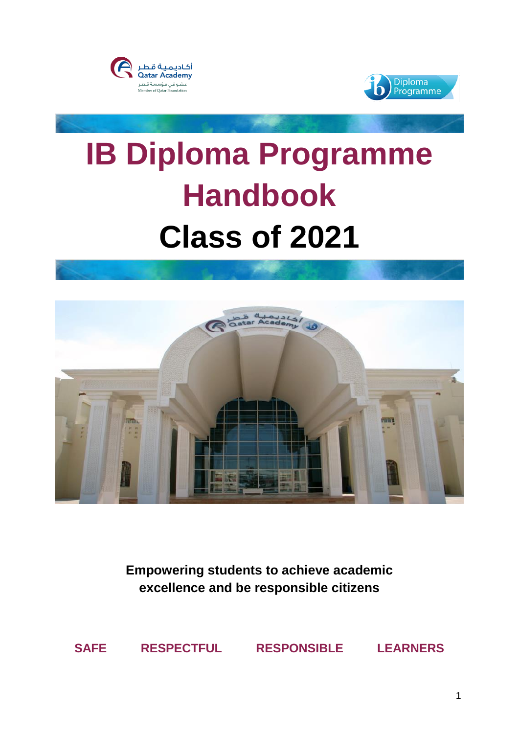



# **IB Diploma Programme Handbook Class of 2021**



**Empowering students to achieve academic excellence and be responsible citizens**

**SAFE RESPECTFUL RESPONSIBLE LEARNERS**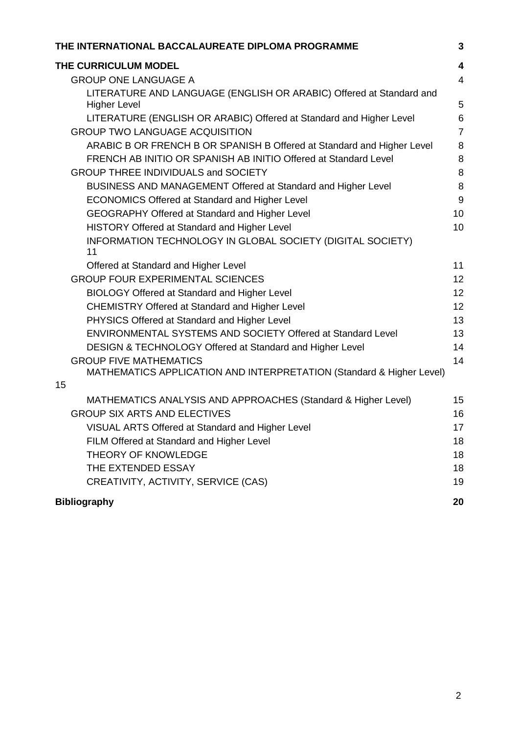| THE INTERNATIONAL BACCALAUREATE DIPLOMA PROGRAMME                      | 3                       |
|------------------------------------------------------------------------|-------------------------|
| THE CURRICULUM MODEL                                                   | $\overline{\mathbf{4}}$ |
| <b>GROUP ONE LANGUAGE A</b>                                            | $\overline{4}$          |
| LITERATURE AND LANGUAGE (ENGLISH OR ARABIC) Offered at Standard and    |                         |
| <b>Higher Level</b>                                                    | 5                       |
| LITERATURE (ENGLISH OR ARABIC) Offered at Standard and Higher Level    | 6                       |
| <b>GROUP TWO LANGUAGE ACQUISITION</b>                                  | $\overline{7}$          |
| ARABIC B OR FRENCH B OR SPANISH B Offered at Standard and Higher Level | 8                       |
| FRENCH AB INITIO OR SPANISH AB INITIO Offered at Standard Level        | 8                       |
| <b>GROUP THREE INDIVIDUALS and SOCIETY</b>                             | 8                       |
| BUSINESS AND MANAGEMENT Offered at Standard and Higher Level           | 8                       |
| <b>ECONOMICS Offered at Standard and Higher Level</b>                  | 9                       |
| <b>GEOGRAPHY Offered at Standard and Higher Level</b>                  | 10                      |
| HISTORY Offered at Standard and Higher Level                           | 10                      |
| INFORMATION TECHNOLOGY IN GLOBAL SOCIETY (DIGITAL SOCIETY)<br>11       |                         |
| Offered at Standard and Higher Level                                   | 11                      |
| <b>GROUP FOUR EXPERIMENTAL SCIENCES</b>                                | 12                      |
| <b>BIOLOGY Offered at Standard and Higher Level</b>                    | 12                      |
| <b>CHEMISTRY Offered at Standard and Higher Level</b>                  | 12                      |
| PHYSICS Offered at Standard and Higher Level                           | 13                      |
| ENVIRONMENTAL SYSTEMS AND SOCIETY Offered at Standard Level            | 13                      |
| <b>DESIGN &amp; TECHNOLOGY Offered at Standard and Higher Level</b>    | 14                      |
| <b>GROUP FIVE MATHEMATICS</b>                                          | 14                      |
| MATHEMATICS APPLICATION AND INTERPRETATION (Standard & Higher Level)   |                         |
| 15                                                                     |                         |
| MATHEMATICS ANALYSIS AND APPROACHES (Standard & Higher Level)          | 15                      |
| <b>GROUP SIX ARTS AND ELECTIVES</b>                                    | 16                      |
| VISUAL ARTS Offered at Standard and Higher Level                       | 17                      |
| FILM Offered at Standard and Higher Level                              | 18                      |
| <b>THEORY OF KNOWLEDGE</b>                                             | 18                      |
| THE EXTENDED ESSAY                                                     | 18                      |
| CREATIVITY, ACTIVITY, SERVICE (CAS)                                    | 19                      |
| <b>Bibliography</b>                                                    | 20                      |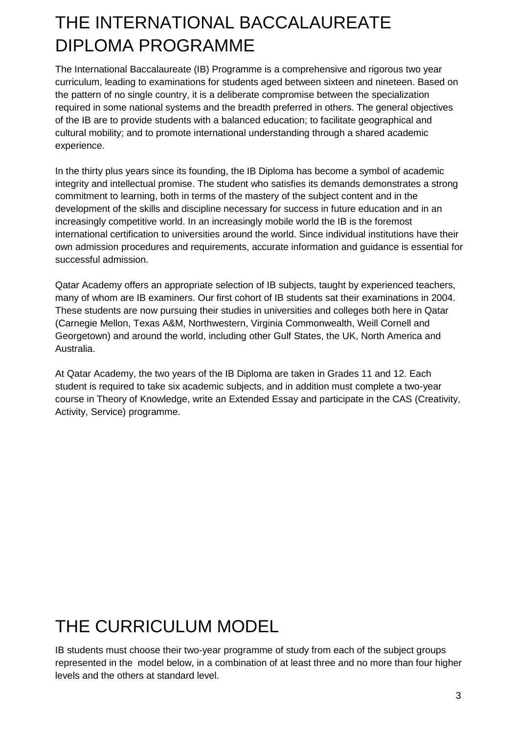# <span id="page-2-0"></span>THE INTERNATIONAL BACCALAUREATE DIPLOMA PROGRAMME

The International Baccalaureate (IB) Programme is a comprehensive and rigorous two year curriculum, leading to examinations for students aged between sixteen and nineteen. Based on the pattern of no single country, it is a deliberate compromise between the specialization required in some national systems and the breadth preferred in others. The general objectives of the IB are to provide students with a balanced education; to facilitate geographical and cultural mobility; and to promote international understanding through a shared academic experience.

In the thirty plus years since its founding, the IB Diploma has become a symbol of academic integrity and intellectual promise. The student who satisfies its demands demonstrates a strong commitment to learning, both in terms of the mastery of the subject content and in the development of the skills and discipline necessary for success in future education and in an increasingly competitive world. In an increasingly mobile world the IB is the foremost international certification to universities around the world. Since individual institutions have their own admission procedures and requirements, accurate information and guidance is essential for successful admission.

Qatar Academy offers an appropriate selection of IB subjects, taught by experienced teachers, many of whom are IB examiners. Our first cohort of IB students sat their examinations in 2004. These students are now pursuing their studies in universities and colleges both here in Qatar (Carnegie Mellon, Texas A&M, Northwestern, Virginia Commonwealth, Weill Cornell and Georgetown) and around the world, including other Gulf States, the UK, North America and Australia.

<span id="page-2-1"></span>At Qatar Academy, the two years of the IB Diploma are taken in Grades 11 and 12. Each student is required to take six academic subjects, and in addition must complete a two-year course in Theory of Knowledge, write an Extended Essay and participate in the CAS (Creativity, Activity, Service) programme.

# THE CURRICULUM MODEL

IB students must choose their two-year programme of study from each of the subject groups represented in the model below, in a combination of at least three and no more than four higher levels and the others at standard level.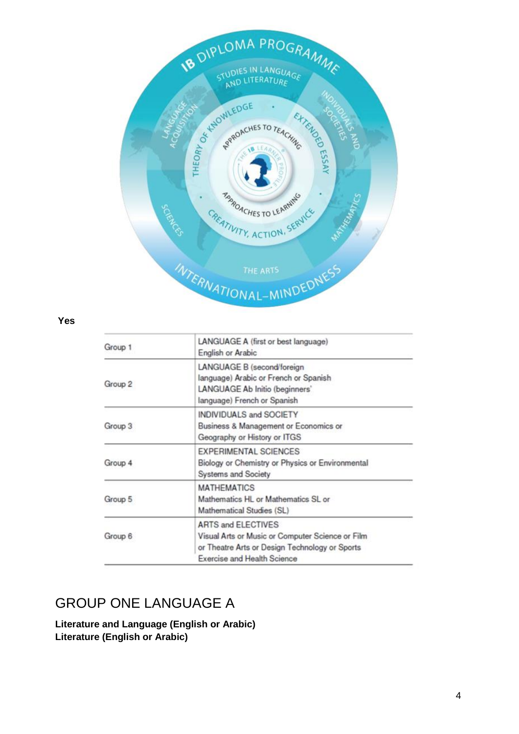

#### **Yes**

| Group 1 | LANGUAGE A (first or best language)<br>English or Arabic                                                                                                       |
|---------|----------------------------------------------------------------------------------------------------------------------------------------------------------------|
| Group 2 | LANGUAGE B (second/foreign<br>language) Arabic or French or Spanish<br>LANGUAGE Ab Initio (beginners'<br>language) French or Spanish                           |
| Group 3 | <b>INDIVIDUALS and SOCIETY</b><br>Business & Management or Economics or<br>Geography or History or ITGS                                                        |
| Group 4 | <b>EXPERIMENTAL SCIENCES</b><br>Biology or Chemistry or Physics or Environmental<br>Systems and Society                                                        |
| Group 5 | <b>MATHEMATICS</b><br>Mathematics HL or Mathematics SL or<br>Mathematical Studies (SL)                                                                         |
| Group 6 | <b>ARTS and ELECTIVES</b><br>Visual Arts or Music or Computer Science or Film<br>or Theatre Arts or Design Technology or Sports<br>Exercise and Health Science |

## GROUP ONE LANGUAGE A

**Literature and Language (English or Arabic) Literature (English or Arabic)**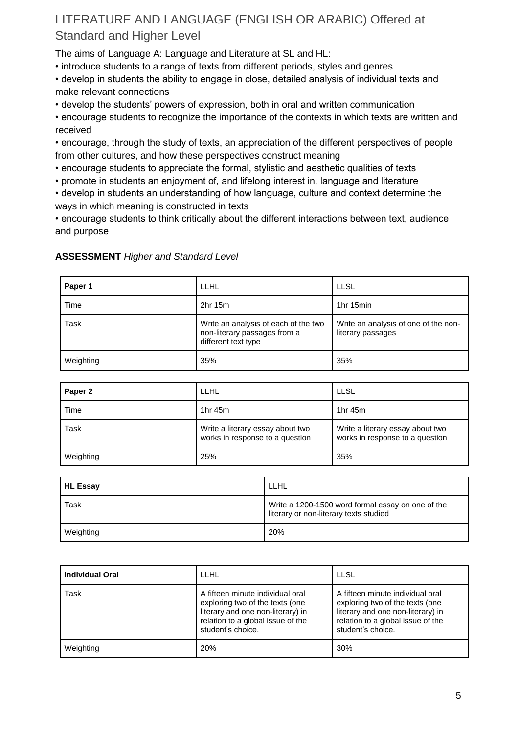## LITERATURE AND LANGUAGE (ENGLISH OR ARABIC) Offered at Standard and Higher Level

The aims of Language A: Language and Literature at SL and HL:

• introduce students to a range of texts from different periods, styles and genres

• develop in students the ability to engage in close, detailed analysis of individual texts and make relevant connections

• develop the students' powers of expression, both in oral and written communication

• encourage students to recognize the importance of the contexts in which texts are written and received

• encourage, through the study of texts, an appreciation of the different perspectives of people from other cultures, and how these perspectives construct meaning

- encourage students to appreciate the formal, stylistic and aesthetic qualities of texts
- promote in students an enjoyment of, and lifelong interest in, language and literature
- develop in students an understanding of how language, culture and context determine the ways in which meaning is constructed in texts

• encourage students to think critically about the different interactions between text, audience and purpose

| Paper 1   | LLHL                                                                                        | <b>LLSL</b>                                               |
|-----------|---------------------------------------------------------------------------------------------|-----------------------------------------------------------|
| Time      | 2hr 15m                                                                                     | 1hr 15min                                                 |
| Task      | Write an analysis of each of the two<br>non-literary passages from a<br>different text type | Write an analysis of one of the non-<br>literary passages |
| Weighting | 35%                                                                                         | 35%                                                       |

#### **ASSESSMENT** *Higher and Standard Level*

| Paper 2   | LLHL                                                                | <b>LLSL</b>                                                         |
|-----------|---------------------------------------------------------------------|---------------------------------------------------------------------|
| Time      | 1hr 45m                                                             | 1hr 45m                                                             |
| Task      | Write a literary essay about two<br>works in response to a question | Write a literary essay about two<br>works in response to a question |
| Weighting | 25%                                                                 | 35%                                                                 |

| <b>HL Essay</b> | LLHL                                                                                        |
|-----------------|---------------------------------------------------------------------------------------------|
| Task            | Write a 1200-1500 word formal essay on one of the<br>literary or non-literary texts studied |
| Weighting       | 20%                                                                                         |

| <b>Individual Oral</b> | <b>LLHL</b>                                                                                                                                                        | <b>LLSL</b>                                                                                                                                                        |
|------------------------|--------------------------------------------------------------------------------------------------------------------------------------------------------------------|--------------------------------------------------------------------------------------------------------------------------------------------------------------------|
| Task                   | A fifteen minute individual oral<br>exploring two of the texts (one<br>literary and one non-literary) in<br>relation to a global issue of the<br>student's choice. | A fifteen minute individual oral<br>exploring two of the texts (one<br>literary and one non-literary) in<br>relation to a global issue of the<br>student's choice. |
| Weighting              | 20%                                                                                                                                                                | 30%                                                                                                                                                                |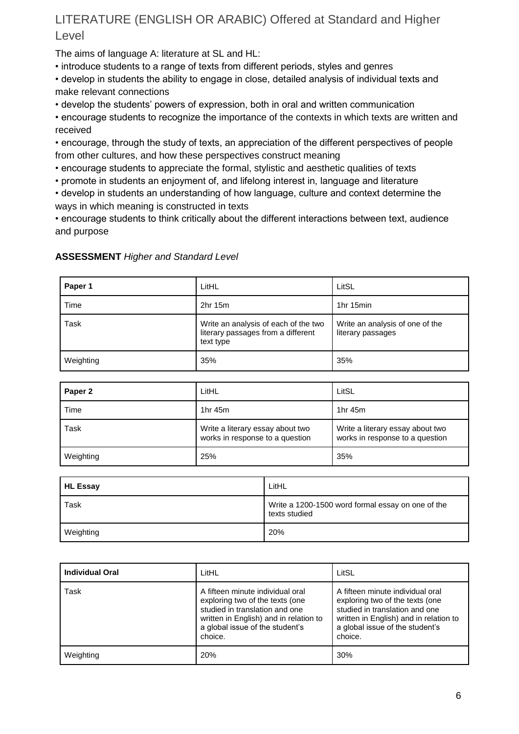## LITERATURE (ENGLISH OR ARABIC) Offered at Standard and Higher Level

The aims of language A: literature at SL and HL:

• introduce students to a range of texts from different periods, styles and genres

• develop in students the ability to engage in close, detailed analysis of individual texts and make relevant connections

• develop the students' powers of expression, both in oral and written communication

• encourage students to recognize the importance of the contexts in which texts are written and received

• encourage, through the study of texts, an appreciation of the different perspectives of people from other cultures, and how these perspectives construct meaning

• encourage students to appreciate the formal, stylistic and aesthetic qualities of texts

• promote in students an enjoyment of, and lifelong interest in, language and literature

• develop in students an understanding of how language, culture and context determine the ways in which meaning is constructed in texts

• encourage students to think critically about the different interactions between text, audience and purpose

| Paper 1   | LitHL                                                                                   | LitSL                                                |
|-----------|-----------------------------------------------------------------------------------------|------------------------------------------------------|
| Time      | $2hr$ 15 $m$                                                                            | 1hr 15min                                            |
| Task      | Write an analysis of each of the two<br>literary passages from a different<br>text type | Write an analysis of one of the<br>literary passages |
| Weighting | 35%                                                                                     | 35%                                                  |

#### **ASSESSMENT** *Higher and Standard Level*

| 1 $hr$ 45 $m$                                                       | 1 $hr$ 45 $m$                                                       |
|---------------------------------------------------------------------|---------------------------------------------------------------------|
| Write a literary essay about two<br>works in response to a question | Write a literary essay about two<br>works in response to a question |
| 25%                                                                 | 35%                                                                 |
|                                                                     |                                                                     |

| <b>HL Essay</b> | LitHL                                                              |
|-----------------|--------------------------------------------------------------------|
| Task            | Write a 1200-1500 word formal essay on one of the<br>texts studied |
| Weighting       | 20%                                                                |

| <b>Individual Oral</b> | LitHL                                                                                                                                                                                         | LitSL                                                                                                                                                                                         |
|------------------------|-----------------------------------------------------------------------------------------------------------------------------------------------------------------------------------------------|-----------------------------------------------------------------------------------------------------------------------------------------------------------------------------------------------|
| Task                   | A fifteen minute individual oral<br>exploring two of the texts (one<br>studied in translation and one<br>written in English) and in relation to<br>a global issue of the student's<br>choice. | A fifteen minute individual oral<br>exploring two of the texts (one<br>studied in translation and one<br>written in English) and in relation to<br>a global issue of the student's<br>choice. |
| Weighting              | 20%                                                                                                                                                                                           | 30%                                                                                                                                                                                           |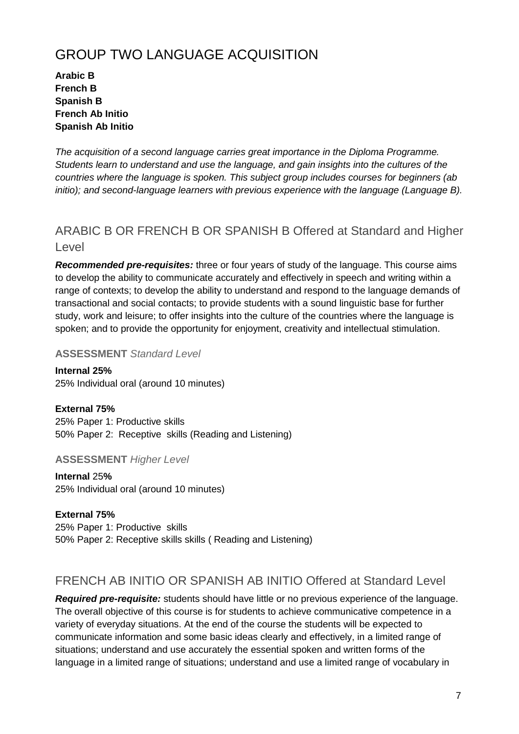## GROUP TWO LANGUAGE ACQUISITION

**Arabic B French B Spanish B French Ab Initio Spanish Ab Initio**

*The acquisition of a second language carries great importance in the Diploma Programme. Students learn to understand and use the language, and gain insights into the cultures of the countries where the language is spoken. This subject group includes courses for beginners (ab initio); and second-language learners with previous experience with the language (Language B).*

## ARABIC B OR FRENCH B OR SPANISH B Offered at Standard and Higher **Level**

*Recommended pre-requisites:* three or four years of study of the language. This course aims to develop the ability to communicate accurately and effectively in speech and writing within a range of contexts; to develop the ability to understand and respond to the language demands of transactional and social contacts; to provide students with a sound linguistic base for further study, work and leisure; to offer insights into the culture of the countries where the language is spoken; and to provide the opportunity for enjoyment, creativity and intellectual stimulation.

#### **ASSESSMENT** *Standard Level*

**Internal 25%** 25% Individual oral (around 10 minutes)

**External 75%** 25% Paper 1: Productive skills 50% Paper 2: Receptive skills (Reading and Listening)

**ASSESSMENT** *Higher Level*

**Internal** 25**%** 25% Individual oral (around 10 minutes)

**External 75%** 25% Paper 1: Productive skills 50% Paper 2: Receptive skills skills ( Reading and Listening)

## FRENCH AB INITIO OR SPANISH AB INITIO Offered at Standard Level

*Required pre-requisite:* students should have little or no previous experience of the language. The overall objective of this course is for students to achieve communicative competence in a variety of everyday situations. At the end of the course the students will be expected to communicate information and some basic ideas clearly and effectively, in a limited range of situations; understand and use accurately the essential spoken and written forms of the language in a limited range of situations; understand and use a limited range of vocabulary in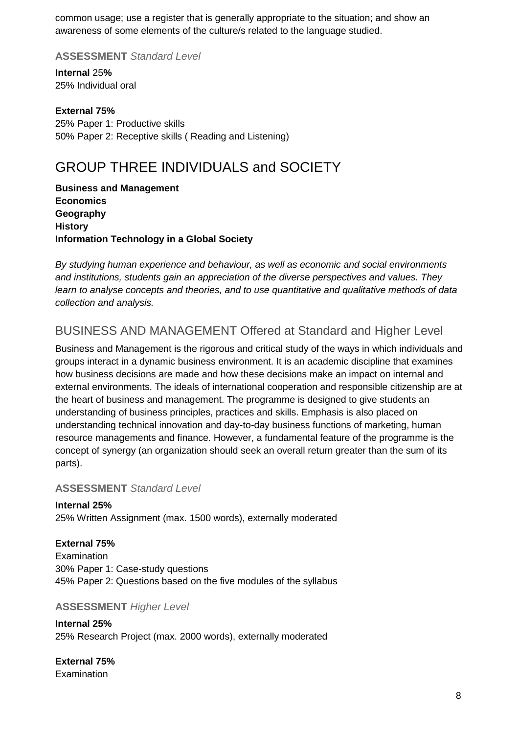common usage; use a register that is generally appropriate to the situation; and show an awareness of some elements of the culture/s related to the language studied.

**ASSESSMENT** *Standard Level*

**Internal** 25**%** 25% Individual oral

**External 75%** 25% Paper 1: Productive skills 50% Paper 2: Receptive skills ( Reading and Listening)

## GROUP THREE INDIVIDUALS and SOCIETY

**Business and Management Economics Geography History Information Technology in a Global Society**

*By studying human experience and behaviour, as well as economic and social environments and institutions, students gain an appreciation of the diverse perspectives and values. They learn to analyse concepts and theories, and to use quantitative and qualitative methods of data collection and analysis.*

## BUSINESS AND MANAGEMENT Offered at Standard and Higher Level

Business and Management is the rigorous and critical study of the ways in which individuals and groups interact in a dynamic business environment. It is an academic discipline that examines how business decisions are made and how these decisions make an impact on internal and external environments. The ideals of international cooperation and responsible citizenship are at the heart of business and management. The programme is designed to give students an understanding of business principles, practices and skills. Emphasis is also placed on understanding technical innovation and day-to-day business functions of marketing, human resource managements and finance. However, a fundamental feature of the programme is the concept of synergy (an organization should seek an overall return greater than the sum of its parts).

#### **ASSESSMENT** *Standard Level*

**Internal 25%** 25% Written Assignment (max. 1500 words), externally moderated

**External 75%**

**Examination** 30% Paper 1: Case-study questions 45% Paper 2: Questions based on the five modules of the syllabus

#### **ASSESSMENT** *Higher Level*

**Internal 25%** 25% Research Project (max. 2000 words), externally moderated

**External 75% Examination**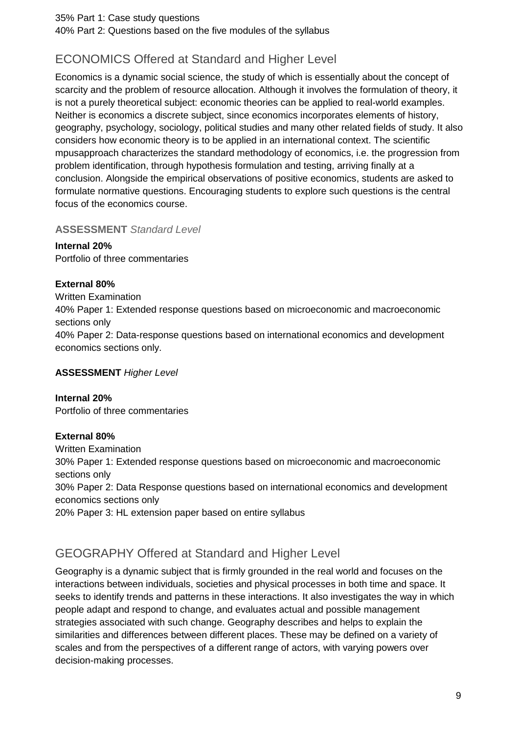35% Part 1: Case study questions 40% Part 2: Questions based on the five modules of the syllabus

## ECONOMICS Offered at Standard and Higher Level

Economics is a dynamic social science, the study of which is essentially about the concept of scarcity and the problem of resource allocation. Although it involves the formulation of theory, it is not a purely theoretical subject: economic theories can be applied to real-world examples. Neither is economics a discrete subject, since economics incorporates elements of history, geography, psychology, sociology, political studies and many other related fields of study. It also considers how economic theory is to be applied in an international context. The scientific mpusapproach characterizes the standard methodology of economics, i.e. the progression from problem identification, through hypothesis formulation and testing, arriving finally at a conclusion. Alongside the empirical observations of positive economics, students are asked to formulate normative questions. Encouraging students to explore such questions is the central focus of the economics course.

#### **ASSESSMENT** *Standard Level*

**Internal 20%**

Portfolio of three commentaries

#### **External 80%**

Written Examination 40% Paper 1: Extended response questions based on microeconomic and macroeconomic sections only 40% Paper 2: Data-response questions based on international economics and development economics sections only.

#### **ASSESSMENT** *Higher Level*

**Internal 20%** Portfolio of three commentaries

#### **External 80%**

Written Examination 30% Paper 1: Extended response questions based on microeconomic and macroeconomic sections only 30% Paper 2: Data Response questions based on international economics and development economics sections only 20% Paper 3: HL extension paper based on entire syllabus

## GEOGRAPHY Offered at Standard and Higher Level

Geography is a dynamic subject that is firmly grounded in the real world and focuses on the interactions between individuals, societies and physical processes in both time and space. It seeks to identify trends and patterns in these interactions. It also investigates the way in which people adapt and respond to change, and evaluates actual and possible management strategies associated with such change. Geography describes and helps to explain the similarities and differences between different places. These may be defined on a variety of scales and from the perspectives of a different range of actors, with varying powers over decision-making processes.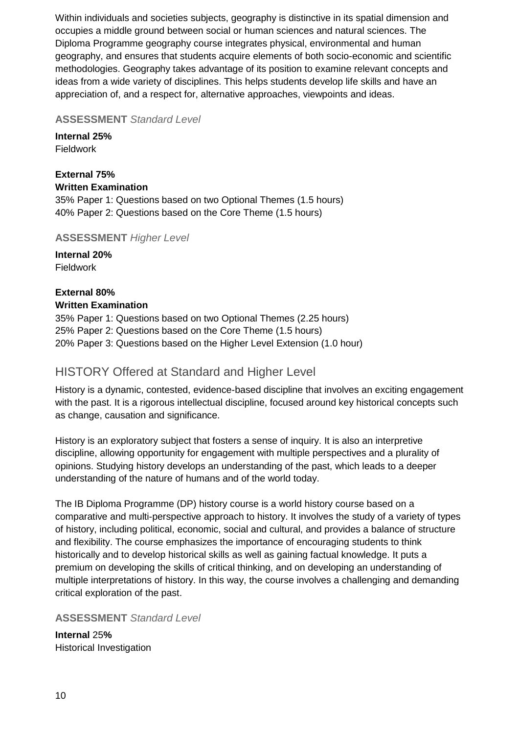Within individuals and societies subjects, geography is distinctive in its spatial dimension and occupies a middle ground between social or human sciences and natural sciences. The Diploma Programme geography course integrates physical, environmental and human geography, and ensures that students acquire elements of both socio-economic and scientific methodologies. Geography takes advantage of its position to examine relevant concepts and ideas from a wide variety of disciplines. This helps students develop life skills and have an appreciation of, and a respect for, alternative approaches, viewpoints and ideas.

**ASSESSMENT** *Standard Level*

**Internal 25%** Fieldwork

#### **External 75% Written Examination**

35% Paper 1: Questions based on two Optional Themes (1.5 hours) 40% Paper 2: Questions based on the Core Theme (1.5 hours)

**ASSESSMENT** *Higher Level*

**Internal 20%** Fieldwork

#### **External 80% Written Examination**

35% Paper 1: Questions based on two Optional Themes (2.25 hours) 25% Paper 2: Questions based on the Core Theme (1.5 hours) 20% Paper 3: Questions based on the Higher Level Extension (1.0 hour)

## <span id="page-9-0"></span>HISTORY Offered at Standard and Higher Level

History is a dynamic, contested, evidence-based discipline that involves an exciting engagement with the past. It is a rigorous intellectual discipline, focused around key historical concepts such as change, causation and significance.

History is an exploratory subject that fosters a sense of inquiry. It is also an interpretive discipline, allowing opportunity for engagement with multiple perspectives and a plurality of opinions. Studying history develops an understanding of the past, which leads to a deeper understanding of the nature of humans and of the world today.

The IB Diploma Programme (DP) history course is a world history course based on a comparative and multi-perspective approach to history. It involves the study of a variety of types of history, including political, economic, social and cultural, and provides a balance of structure and flexibility. The course emphasizes the importance of encouraging students to think historically and to develop historical skills as well as gaining factual knowledge. It puts a premium on developing the skills of critical thinking, and on developing an understanding of multiple interpretations of history. In this way, the course involves a challenging and demanding critical exploration of the past.

**ASSESSMENT** *Standard Level*

**Internal** 25**%** Historical Investigation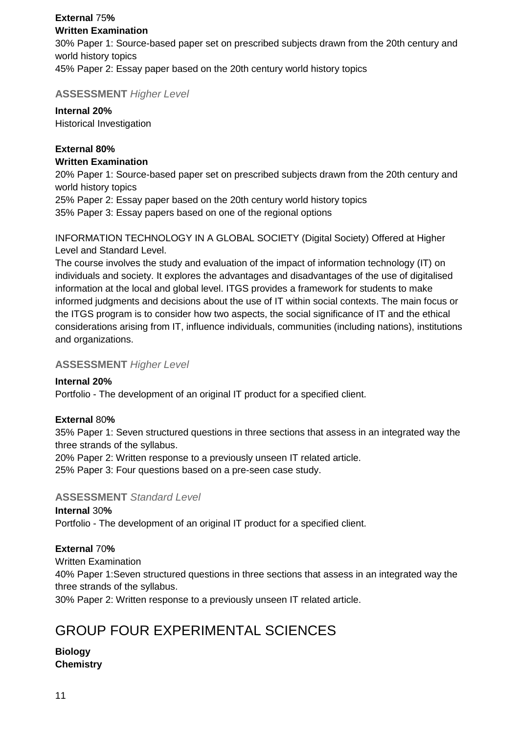#### **External** 75**% Written Examination**

30% Paper 1: Source-based paper set on prescribed subjects drawn from the 20th century and world history topics 45% Paper 2: Essay paper based on the 20th century world history topics

**ASSESSMENT** *Higher Level*

#### **Internal 20%**

Historical Investigation

#### **External 80% Written Examination**

20% Paper 1: Source-based paper set on prescribed subjects drawn from the 20th century and world history topics

25% Paper 2: Essay paper based on the 20th century world history topics

35% Paper 3: Essay papers based on one of the regional options

INFORMATION TECHNOLOGY IN A GLOBAL SOCIETY (Digital Society) Offered at Higher Level and Standard Level.

The course involves the study and evaluation of the impact of information technology (IT) on individuals and society. It explores the advantages and disadvantages of the use of digitalised information at the local and global level. ITGS provides a framework for students to make informed judgments and decisions about the use of IT within social contexts. The main focus or the ITGS program is to consider how two aspects, the social significance of IT and the ethical considerations arising from IT, influence individuals, communities (including nations), institutions and organizations.

#### **ASSESSMENT** *Higher Level*

#### **Internal 20%**

Portfolio - The development of an original IT product for a specified client.

#### **External** 80**%**

35% Paper 1: Seven structured questions in three sections that assess in an integrated way the three strands of the syllabus.

20% Paper 2: Written response to a previously unseen IT related article.

25% Paper 3: Four questions based on a pre-seen case study.

#### **ASSESSMENT** *Standard Level*

**Internal** 30**%** Portfolio - The development of an original IT product for a specified client.

#### **External** 70**%**

Written Examination

40% Paper 1:Seven structured questions in three sections that assess in an integrated way the three strands of the syllabus.

30% Paper 2: Written response to a previously unseen IT related article.

## GROUP FOUR EXPERIMENTAL SCIENCES

#### **Biology Chemistry**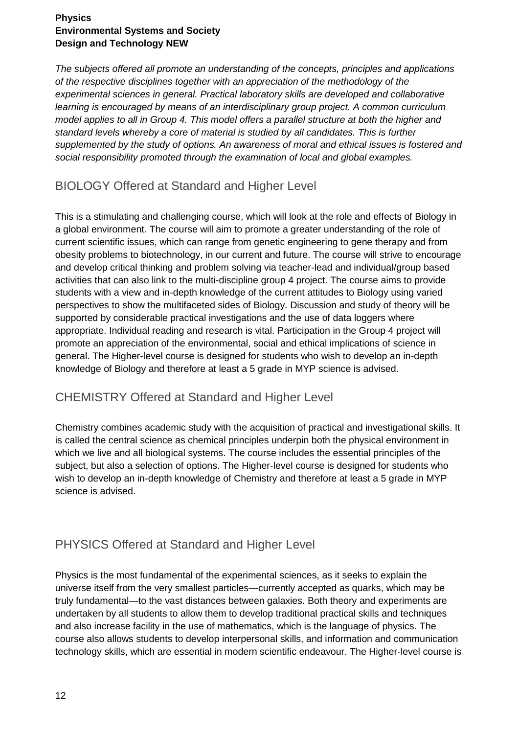#### **Physics Environmental Systems and Society Design and Technology NEW**

*The subjects offered all promote an understanding of the concepts, principles and applications of the respective disciplines together with an appreciation of the methodology of the experimental sciences in general. Practical laboratory skills are developed and collaborative learning is encouraged by means of an interdisciplinary group project. A common curriculum model applies to all in Group 4. This model offers a parallel structure at both the higher and standard levels whereby a core of material is studied by all candidates. This is further supplemented by the study of options. An awareness of moral and ethical issues is fostered and social responsibility promoted through the examination of local and global examples.*

## BIOLOGY Offered at Standard and Higher Level

This is a stimulating and challenging course, which will look at the role and effects of Biology in a global environment. The course will aim to promote a greater understanding of the role of current scientific issues, which can range from genetic engineering to gene therapy and from obesity problems to biotechnology, in our current and future. The course will strive to encourage and develop critical thinking and problem solving via teacher-lead and individual/group based activities that can also link to the multi-discipline group 4 project. The course aims to provide students with a view and in-depth knowledge of the current attitudes to Biology using varied perspectives to show the multifaceted sides of Biology. Discussion and study of theory will be supported by considerable practical investigations and the use of data loggers where appropriate. Individual reading and research is vital. Participation in the Group 4 project will promote an appreciation of the environmental, social and ethical implications of science in general. The Higher-level course is designed for students who wish to develop an in-depth knowledge of Biology and therefore at least a 5 grade in MYP science is advised.

## CHEMISTRY Offered at Standard and Higher Level

Chemistry combines academic study with the acquisition of practical and investigational skills. It is called the central science as chemical principles underpin both the physical environment in which we live and all biological systems. The course includes the essential principles of the subject, but also a selection of options. The Higher-level course is designed for students who wish to develop an in-depth knowledge of Chemistry and therefore at least a 5 grade in MYP science is advised.

## PHYSICS Offered at Standard and Higher Level

Physics is the most fundamental of the experimental sciences, as it seeks to explain the universe itself from the very smallest particles—currently accepted as quarks, which may be truly fundamental—to the vast distances between galaxies. Both theory and experiments are undertaken by all students to allow them to develop traditional practical skills and techniques and also increase facility in the use of mathematics, which is the language of physics. The course also allows students to develop interpersonal skills, and information and communication technology skills, which are essential in modern scientific endeavour. The Higher-level course is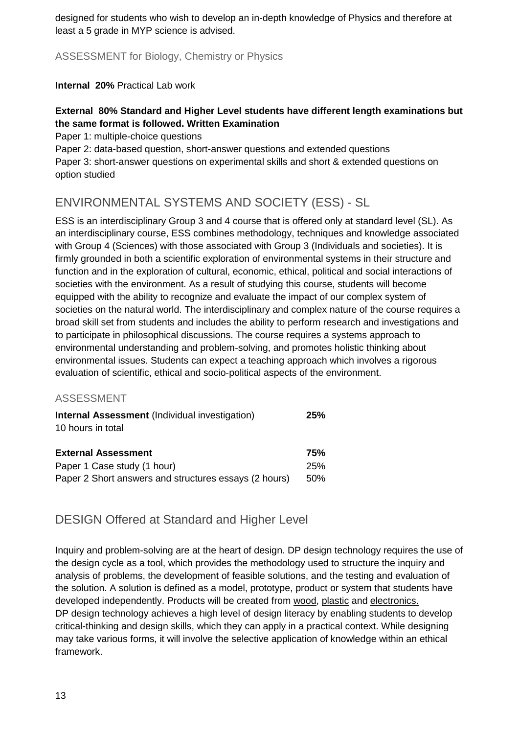designed for students who wish to develop an in-depth knowledge of Physics and therefore at least a 5 grade in MYP science is advised.

ASSESSMENT for Biology, Chemistry or Physics

**Internal 20%** Practical Lab work

#### **External 80% Standard and Higher Level students have different length examinations but the same format is followed. Written Examination**

Paper 1: multiple-choice questions

Paper 2: data-based question, short-answer questions and extended questions Paper 3: short-answer questions on experimental skills and short & extended questions on option studied

## ENVIRONMENTAL SYSTEMS AND SOCIETY (ESS) - SL

ESS is an interdisciplinary Group 3 and 4 course that is offered only at standard level (SL). As an interdisciplinary course, ESS combines methodology, techniques and knowledge associated with Group 4 (Sciences) with those associated with Group 3 (Individuals and societies). It is firmly grounded in both a scientific exploration of environmental systems in their structure and function and in the exploration of cultural, economic, ethical, political and social interactions of societies with the environment. As a result of studying this course, students will become equipped with the ability to recognize and evaluate the impact of our complex system of societies on the natural world. The interdisciplinary and complex nature of the course requires a broad skill set from students and includes the ability to perform research and investigations and to participate in philosophical discussions. The course requires a systems approach to environmental understanding and problem-solving, and promotes holistic thinking about environmental issues. Students can expect a teaching approach which involves a rigorous evaluation of scientific, ethical and socio-political aspects of the environment.

#### ASSESSMENT

| <b>Internal Assessment</b> (Individual investigation)<br>10 hours in total | 25% |
|----------------------------------------------------------------------------|-----|
| <b>External Assessment</b>                                                 | 75% |
| Paper 1 Case study (1 hour)                                                | 25% |
| Paper 2 Short answers and structures essays (2 hours)                      | 50% |

## DESIGN Offered at Standard and Higher Level

Inquiry and problem-solving are at the heart of design. DP design technology requires the use of the design cycle as a tool, which provides the methodology used to structure the inquiry and analysis of problems, the development of feasible solutions, and the testing and evaluation of the solution. A solution is defined as a model, prototype, product or system that students have developed independently. Products will be created from wood, plastic and electronics. DP design technology achieves a high level of design literacy by enabling students to develop critical-thinking and design skills, which they can apply in a practical context. While designing may take various forms, it will involve the selective application of knowledge within an ethical framework.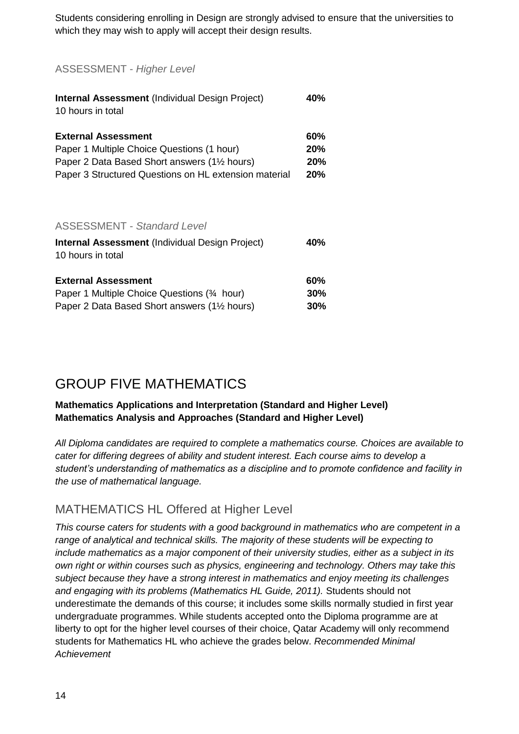Students considering enrolling in Design are strongly advised to ensure that the universities to which they may wish to apply will accept their design results.

ASSESSMENT - *Higher Level*

| <b>Internal Assessment (Individual Design Project)</b><br>10 hours in total | 40%        |
|-----------------------------------------------------------------------------|------------|
| <b>External Assessment</b>                                                  | 60%        |
| Paper 1 Multiple Choice Questions (1 hour)                                  | 20%        |
| Paper 2 Data Based Short answers (1 <sup>1/2</sup> hours)                   | <b>20%</b> |
| Paper 3 Structured Questions on HL extension material                       | 20%        |
| <b>ASSESSMENT - Standard Level</b>                                          |            |
| <b>Internal Assessment (Individual Design Project)</b><br>10 hours in total | 40%        |
| <b>External Assessment</b>                                                  | 60%        |

| EAWTHAI ASSCSSITION                                       | VV 70 |
|-----------------------------------------------------------|-------|
| Paper 1 Multiple Choice Questions (34 hour)               | 30%   |
| Paper 2 Data Based Short answers (1 <sup>1/2</sup> hours) | 30%   |

## GROUP FIVE MATHEMATICS

#### **Mathematics Applications and Interpretation (Standard and Higher Level) Mathematics Analysis and Approaches (Standard and Higher Level)**

*All Diploma candidates are required to complete a mathematics course. Choices are available to cater for differing degrees of ability and student interest. Each course aims to develop a student's understanding of mathematics as a discipline and to promote confidence and facility in the use of mathematical language.*

## MATHEMATICS HL Offered at Higher Level

*This course caters for students with a good background in mathematics who are competent in a range of analytical and technical skills. The majority of these students will be expecting to include mathematics as a major component of their university studies, either as a subject in its own right or within courses such as physics, engineering and technology. Others may take this subject because they have a strong interest in mathematics and enjoy meeting its challenges and engaging with its problems (Mathematics HL Guide, 2011).* Students should not underestimate the demands of this course; it includes some skills normally studied in first year undergraduate programmes. While students accepted onto the Diploma programme are at liberty to opt for the higher level courses of their choice, Qatar Academy will only recommend students for Mathematics HL who achieve the grades below. *Recommended Minimal Achievement*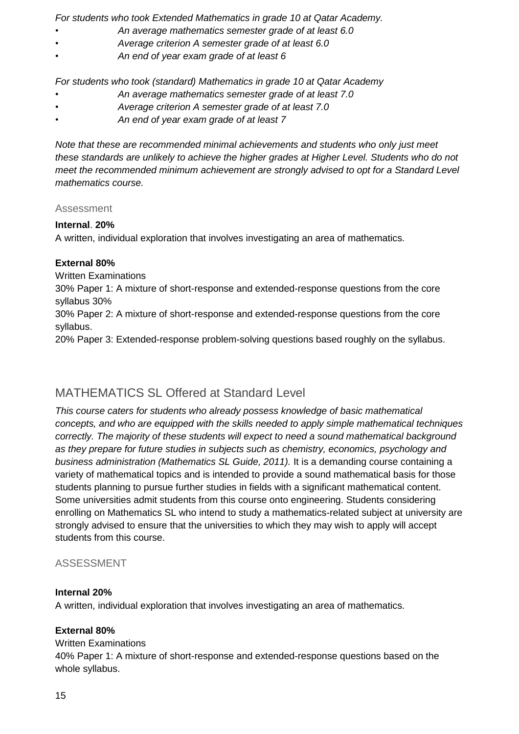*For students who took Extended Mathematics in grade 10 at Qatar Academy.*

- *An average mathematics semester grade of at least 6.0*
- *Average criterion A semester grade of at least 6.0*
- *An end of year exam grade of at least 6*

*For students who took (standard) Mathematics in grade 10 at Qatar Academy*

- *An average mathematics semester grade of at least 7.0*
- *Average criterion A semester grade of at least 7.0*
- *An end of year exam grade of at least 7*

*Note that these are recommended minimal achievements and students who only just meet these standards are unlikely to achieve the higher grades at Higher Level. Students who do not meet the recommended minimum achievement are strongly advised to opt for a Standard Level mathematics course.*

#### Assessment

#### **Internal**. **20%**

A written, individual exploration that involves investigating an area of mathematics.

#### **External 80%**

Written Examinations

30% Paper 1: A mixture of short-response and extended-response questions from the core syllabus 30%

30% Paper 2: A mixture of short-response and extended-response questions from the core syllabus.

20% Paper 3: Extended-response problem-solving questions based roughly on the syllabus.

## MATHEMATICS SL Offered at Standard Level

*This course caters for students who already possess knowledge of basic mathematical concepts, and who are equipped with the skills needed to apply simple mathematical techniques correctly. The majority of these students will expect to need a sound mathematical background as they prepare for future studies in subjects such as chemistry, economics, psychology and business administration (Mathematics SL Guide, 2011).* It is a demanding course containing a variety of mathematical topics and is intended to provide a sound mathematical basis for those students planning to pursue further studies in fields with a significant mathematical content. Some universities admit students from this course onto engineering. Students considering enrolling on Mathematics SL who intend to study a mathematics-related subject at university are strongly advised to ensure that the universities to which they may wish to apply will accept students from this course.

#### ASSESSMENT

#### **Internal 20%**

A written, individual exploration that involves investigating an area of mathematics.

#### **External 80%**

#### Written Examinations

40% Paper 1: A mixture of short-response and extended-response questions based on the whole syllabus.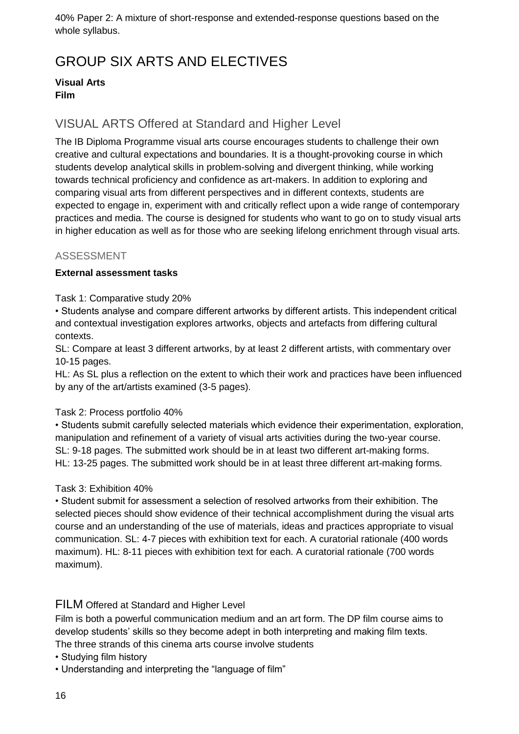40% Paper 2: A mixture of short-response and extended-response questions based on the whole syllabus.

# <span id="page-15-0"></span>GROUP SIX ARTS AND ELECTIVES

#### **Visual Arts Film**

## VISUAL ARTS Offered at Standard and Higher Level

The IB Diploma Programme visual arts course encourages students to challenge their own creative and cultural expectations and boundaries. It is a thought-provoking course in which students develop analytical skills in problem-solving and divergent thinking, while working towards technical proficiency and confidence as art-makers. In addition to exploring and comparing visual arts from different perspectives and in different contexts, students are expected to engage in, experiment with and critically reflect upon a wide range of contemporary practices and media. The course is designed for students who want to go on to study visual arts in higher education as well as for those who are seeking lifelong enrichment through visual arts.

#### ASSESSMENT

#### **External assessment tasks**

Task 1: Comparative study 20%

• Students analyse and compare different artworks by different artists. This independent critical and contextual investigation explores artworks, objects and artefacts from differing cultural contexts.

SL: Compare at least 3 different artworks, by at least 2 different artists, with commentary over 10-15 pages.

HL: As SL plus a reflection on the extent to which their work and practices have been influenced by any of the art/artists examined (3-5 pages).

#### Task 2: Process portfolio 40%

• Students submit carefully selected materials which evidence their experimentation, exploration, manipulation and refinement of a variety of visual arts activities during the two-year course. SL: 9-18 pages. The submitted work should be in at least two different art-making forms. HL: 13-25 pages. The submitted work should be in at least three different art-making forms.

Task 3: Exhibition 40%

• Student submit for assessment a selection of resolved artworks from their exhibition. The selected pieces should show evidence of their technical accomplishment during the visual arts course and an understanding of the use of materials, ideas and practices appropriate to visual communication. SL: 4-7 pieces with exhibition text for each. A curatorial rationale (400 words maximum). HL: 8-11 pieces with exhibition text for each. A curatorial rationale (700 words maximum).

#### FILM Offered at Standard and Higher Level

Film is both a powerful communication medium and an art form. The DP film course aims to develop students' skills so they become adept in both interpreting and making film texts.

The three strands of this cinema arts course involve students

- Studying film history
- Understanding and interpreting the "language of film"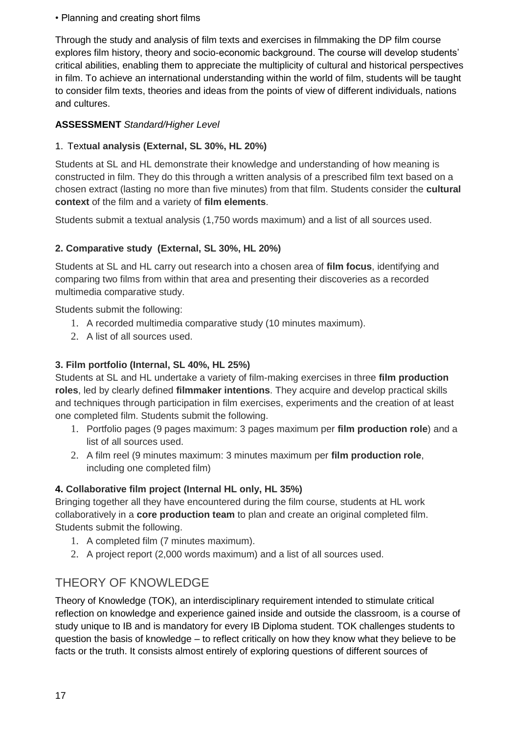• Planning and creating short films

Through the study and analysis of film texts and exercises in filmmaking the DP film course explores film history, theory and socio-economic background. The course will develop students' critical abilities, enabling them to appreciate the multiplicity of cultural and historical perspectives in film. To achieve an international understanding within the world of film, students will be taught to consider film texts, theories and ideas from the points of view of different individuals, nations and cultures.

#### **ASSESSMENT** *Standard/Higher Level*

#### 1. Text**ual analysis (External, SL 30%, HL 20%)**

Students at SL and HL demonstrate their knowledge and understanding of how meaning is constructed in film. They do this through a written analysis of a prescribed film text based on a chosen extract (lasting no more than five minutes) from that film. Students consider the **cultural context** of the film and a variety of **film elements**.

Students submit a textual analysis (1,750 words maximum) and a list of all sources used.

#### **2. Comparative study (External, SL 30%, HL 20%)**

Students at SL and HL carry out research into a chosen area of **film focus**, identifying and comparing two films from within that area and presenting their discoveries as a recorded multimedia comparative study.

Students submit the following:

- 1. A recorded multimedia comparative study (10 minutes maximum).
- 2. A list of all sources used.

#### **3. Film portfolio (Internal, SL 40%, HL 25%)**

Students at SL and HL undertake a variety of film-making exercises in three **film production roles**, led by clearly defined **filmmaker intentions**. They acquire and develop practical skills and techniques through participation in film exercises, experiments and the creation of at least one completed film. Students submit the following.

- 1. Portfolio pages (9 pages maximum: 3 pages maximum per **film production role**) and a list of all sources used.
- 2. A film reel (9 minutes maximum: 3 minutes maximum per **film production role**, including one completed film)

#### **4. Collaborative film project (Internal HL only, HL 35%)**

Bringing together all they have encountered during the film course, students at HL work collaboratively in a **core production team** to plan and create an original completed film. Students submit the following.

- 1. A completed film (7 minutes maximum).
- 2. A project report (2,000 words maximum) and a list of all sources used.

## THEORY OF KNOWLEDGE

Theory of Knowledge (TOK), an interdisciplinary requirement intended to stimulate critical reflection on knowledge and experience gained inside and outside the classroom, is a course of study unique to IB and is mandatory for every IB Diploma student. TOK challenges students to question the basis of knowledge – to reflect critically on how they know what they believe to be facts or the truth. It consists almost entirely of exploring questions of different sources of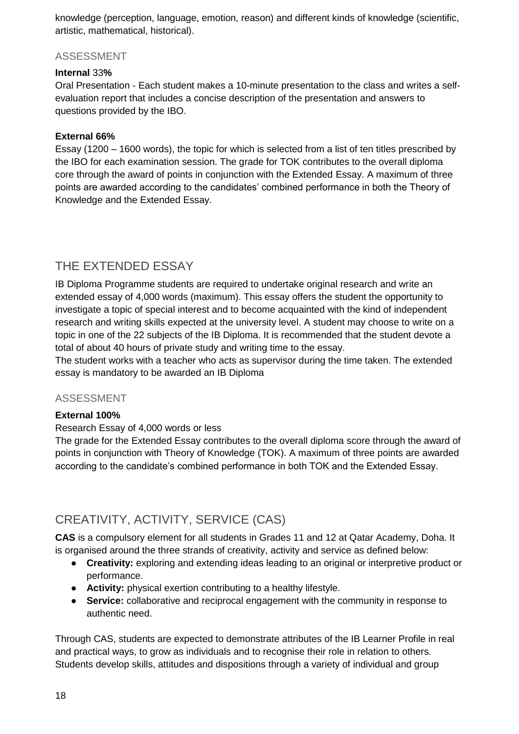knowledge (perception, language, emotion, reason) and different kinds of knowledge (scientific, artistic, mathematical, historical).

#### ASSESSMENT

#### **Internal** 33**%**

Oral Presentation - Each student makes a 10-minute presentation to the class and writes a selfevaluation report that includes a concise description of the presentation and answers to questions provided by the IBO.

#### **External 66%**

Essay (1200 – 1600 words), the topic for which is selected from a list of ten titles prescribed by the IBO for each examination session. The grade for TOK contributes to the overall diploma core through the award of points in conjunction with the Extended Essay. A maximum of three points are awarded according to the candidates' combined performance in both the Theory of Knowledge and the Extended Essay.

## THE EXTENDED ESSAY

IB Diploma Programme students are required to undertake original research and write an extended essay of 4,000 words (maximum). This essay offers the student the opportunity to investigate a topic of special interest and to become acquainted with the kind of independent research and writing skills expected at the university level. A student may choose to write on a topic in one of the 22 subjects of the IB Diploma. It is recommended that the student devote a total of about 40 hours of private study and writing time to the essay.

The student works with a teacher who acts as supervisor during the time taken. The extended essay is mandatory to be awarded an IB Diploma

#### ASSESSMENT

#### **External 100%**

#### Research Essay of 4,000 words or less

The grade for the Extended Essay contributes to the overall diploma score through the award of points in conjunction with Theory of Knowledge (TOK). A maximum of three points are awarded according to the candidate's combined performance in both TOK and the Extended Essay.

## <span id="page-17-0"></span>CREATIVITY, ACTIVITY, SERVICE (CAS)

**CAS** is a compulsory element for all students in Grades 11 and 12 at Qatar Academy, Doha. It is organised around the three strands of creativity, activity and service as defined below:

- **Creativity:** exploring and extending ideas leading to an original or interpretive product or performance.
- **Activity:** physical exertion contributing to a healthy lifestyle.
- **Service:** collaborative and reciprocal engagement with the community in response to authentic need.

Through CAS, students are expected to demonstrate attributes of the IB Learner Profile in real and practical ways, to grow as individuals and to recognise their role in relation to others. Students develop skills, attitudes and dispositions through a variety of individual and group